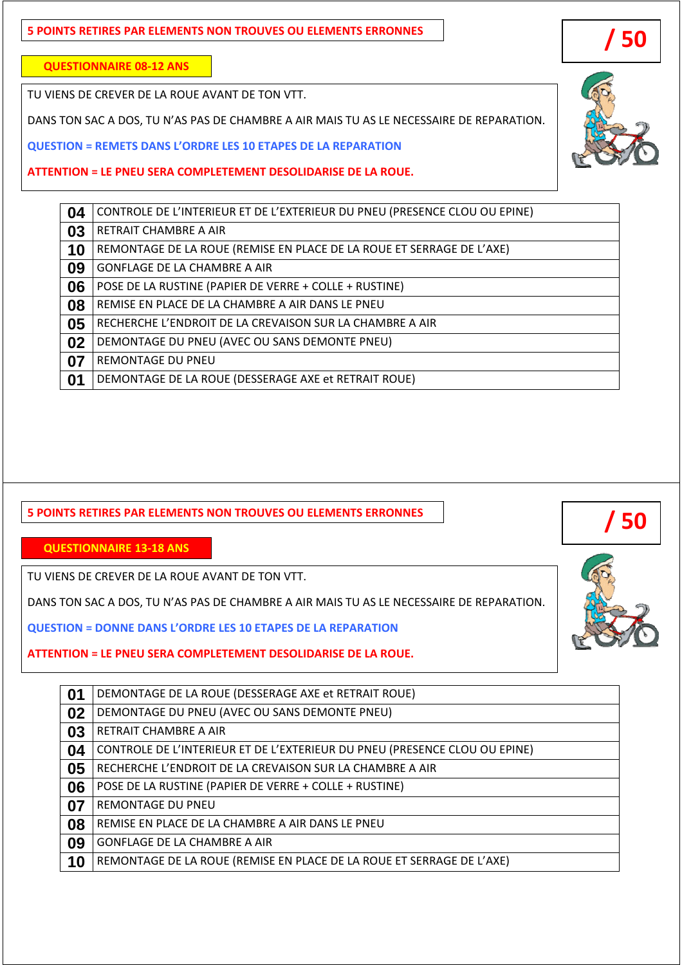## **5 POINTS RETIRES PAR ELEMENTS NON TROUVES OU ELEMENTS ERRONNES**

**QUESTIONNAIRE 08-12 ANS**

TU VIENS DE CREVER DE LA ROUE AVANT DE TON VTT.

DANS TON SAC A DOS, TU N'AS PAS DE CHAMBRE A AIR MAIS TU AS LE NECESSAIRE DE REPARATION.

**QUESTION = REMETS DANS L'ORDRE LES 10 ETAPES DE LA REPARATION** 

**ATTENTION = LE PNEU SERA COMPLETEMENT DESOLIDARISE DE LA ROUE.** 

## **5 POINTS RETIRES PAR ELEMENTS NON TROUVES OU ELEMENTS ERRONNES**

**QUESTIONNAIRE 13-18 ANS**

TU VIENS DE CREVER DE LA ROUE AVANT DE TON VTT.

DANS TON SAC A DOS, TU N'AS PAS DE CHAMBRE A AIR MAIS TU AS LE NECESSAIRE DE REPARATION.

**QUESTION = DONNE DANS L'ORDRE LES 10 ETAPES DE LA REPARATION** 

**ATTENTION = LE PNEU SERA COMPLETEMENT DESOLIDARISE DE LA ROUE.** 

| 01 | DEMONTAGE DE LA ROUE (DESSERAGE AXE et RETRAIT ROUE)                       |
|----|----------------------------------------------------------------------------|
| 02 | DEMONTAGE DU PNEU (AVEC OU SANS DEMONTE PNEU)                              |
| 03 | RETRAIT CHAMBRE A AIR                                                      |
| 04 | CONTROLE DE L'INTERIEUR ET DE L'EXTERIEUR DU PNEU (PRESENCE CLOU OU EPINE) |
| 05 | RECHERCHE L'ENDROIT DE LA CREVAISON SUR LA CHAMBRE A AIR                   |
| 06 | POSE DE LA RUSTINE (PAPIER DE VERRE + COLLE + RUSTINE)                     |
| 07 | <b>REMONTAGE DU PNEU</b>                                                   |
| 08 | REMISE EN PLACE DE LA CHAMBRE A AIR DANS LE PNEU                           |
| 09 | <b>GONFLAGE DE LA CHAMBRE A AIR</b>                                        |
| 10 | REMONTAGE DE LA ROUE (REMISE EN PLACE DE LA ROUE ET SERRAGE DE L'AXE)      |







 **/ 50**

**04** CONTROLE DE L'INTERIEUR ET DE L'EXTERIEUR DU PNEU (PRESENCE CLOU OU EPINE)

**10** REMONTAGE DE LA ROUE (REMISE EN PLACE DE LA ROUE ET SERRAGE DE L'AXE)

**09** GONFLAGE DE LA CHAMBRE A AIR

**06** POSE DE LA RUSTINE (PAPIER DE VERRE + COLLE + RUSTINE)

**08** REMISE EN PLACE DE LA CHAMBRE A AIR DANS LE PNEU

**05** RECHERCHE L'ENDROIT DE LA CREVAISON SUR LA CHAMBRE A AIR

**02** DEMONTAGE DU PNEU (AVEC OU SANS DEMONTE PNEU)

**07** REMONTAGE DU PNEU

**03** RETRAIT CHAMBRE A AIR

**01** DEMONTAGE DE LA ROUE (DESSERAGE AXE et RETRAIT ROUE)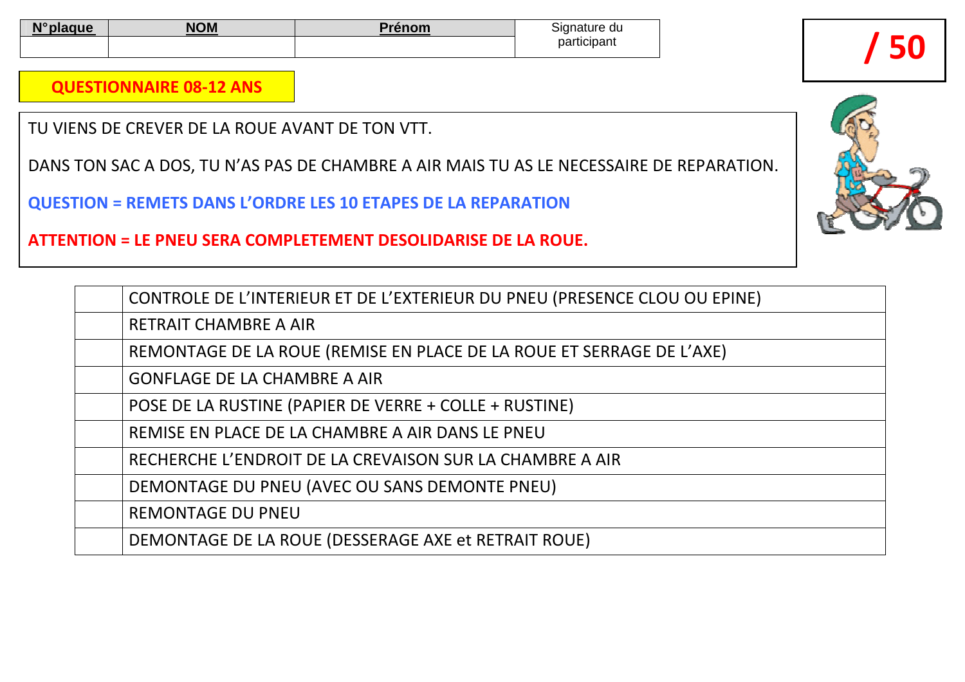| <b>AIO</b> | <b>NOM</b> | --- | ıanature<br>: uu |
|------------|------------|-----|------------------|
|            |            |     | participant      |

**QUESTIONNAIRE 08-12 ANS**

TU VIENS DE CREVER DE LA ROUE AVANT DE TON VTT.

DANS TON SAC A DOS, TU N'AS PAS DE CHAMBRE A AIR MAIS TU AS LE NECESSAIRE DE REPARATION.

**QUESTION = REMETS DANS L'ORDRE LES 10 ETAPES DE LA REPARATION** 

**ATTENTION = LE PNEU SERA COMPLETEMENT DESOLIDARISE DE LA ROUE.** 

| CONTROLE DE L'INTERIEUR ET DE L'EXTERIEUR DU PNEU (PRESENCE CLOU OU EPINE) |
|----------------------------------------------------------------------------|
| <b>RETRAIT CHAMBRE A AIR</b>                                               |
| REMONTAGE DE LA ROUE (REMISE EN PLACE DE LA ROUE ET SERRAGE DE L'AXE)      |
| <b>GONFLAGE DE LA CHAMBRE A AIR</b>                                        |
| POSE DE LA RUSTINE (PAPIER DE VERRE + COLLE + RUSTINE)                     |
| REMISE EN PLACE DE LA CHAMBRE A AIR DANS LE PNEU                           |
| RECHERCHE L'ENDROIT DE LA CREVAISON SUR LA CHAMBRE A AIR                   |
| DEMONTAGE DU PNEU (AVEC OU SANS DEMONTE PNEU)                              |
| <b>REMONTAGE DU PNEU</b>                                                   |
| DEMONTAGE DE LA ROUE (DESSERAGE AXE et RETRAIT ROUE)                       |
|                                                                            |



**50**